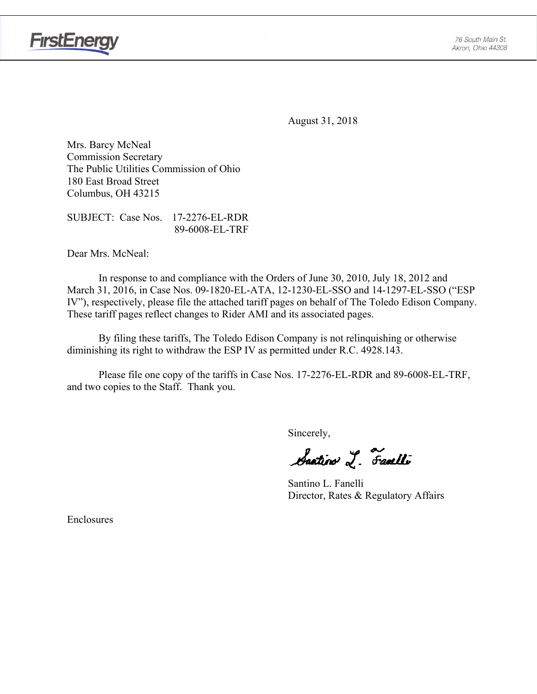

**FirstEnergy** 

August 31, 2018

Mrs. Barcy McNeal Commission Secretary The Public Utilities Commission of Ohio 180 East Broad Street Columbus, OH 43215

SUBJECT: Case Nos. 17-2276-EL-RDR 89-6008-EL-TRF

Dear Mrs. McNeal:

 In response to and compliance with the Orders of June 30, 2010, July 18, 2012 and March 31, 2016, in Case Nos. 09-1820-EL-ATA, 12-1230-EL-SSO and 14-1297-EL-SSO ("ESP IV"), respectively, please file the attached tariff pages on behalf of The Toledo Edison Company. These tariff pages reflect changes to Rider AMI and its associated pages.

By filing these tariffs, The Toledo Edison Company is not relinquishing or otherwise diminishing its right to withdraw the ESP IV as permitted under R.C. 4928.143.

Please file one copy of the tariffs in Case Nos. 17-2276-EL-RDR and 89-6008-EL-TRF, and two copies to the Staff. Thank you.

Sincerely,

Saatin I. Faulli

 Santino L. Fanelli Director, Rates & Regulatory Affairs

Enclosures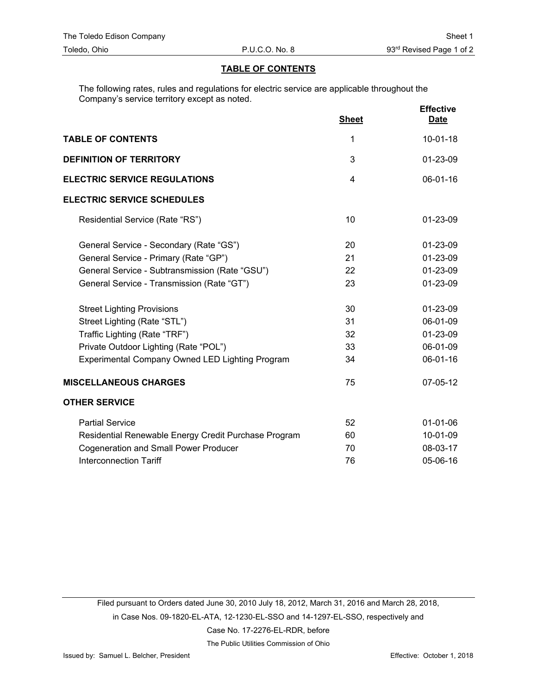#### **TABLE OF CONTENTS**

The following rates, rules and regulations for electric service are applicable throughout the Company's service territory except as noted.

|                                                      | <b>Sheet</b> | <b>Effective</b><br><b>Date</b> |
|------------------------------------------------------|--------------|---------------------------------|
| <b>TABLE OF CONTENTS</b>                             | 1            | $10-01-18$                      |
| <b>DEFINITION OF TERRITORY</b>                       | 3            | 01-23-09                        |
| <b>ELECTRIC SERVICE REGULATIONS</b>                  | 4            | 06-01-16                        |
| <b>ELECTRIC SERVICE SCHEDULES</b>                    |              |                                 |
| Residential Service (Rate "RS")                      | 10           | 01-23-09                        |
| General Service - Secondary (Rate "GS")              | 20           | 01-23-09                        |
| General Service - Primary (Rate "GP")                | 21           | 01-23-09                        |
| General Service - Subtransmission (Rate "GSU")       | 22           | 01-23-09                        |
| General Service - Transmission (Rate "GT")           | 23           | 01-23-09                        |
| <b>Street Lighting Provisions</b>                    | 30           | 01-23-09                        |
| Street Lighting (Rate "STL")                         | 31           | 06-01-09                        |
| Traffic Lighting (Rate "TRF")                        | 32           | 01-23-09                        |
| Private Outdoor Lighting (Rate "POL")                | 33           | 06-01-09                        |
| Experimental Company Owned LED Lighting Program      | 34           | 06-01-16                        |
| <b>MISCELLANEOUS CHARGES</b>                         | 75           | 07-05-12                        |
| <b>OTHER SERVICE</b>                                 |              |                                 |
| <b>Partial Service</b>                               | 52           | $01 - 01 - 06$                  |
| Residential Renewable Energy Credit Purchase Program | 60           | 10-01-09                        |
| <b>Cogeneration and Small Power Producer</b>         | 70           | 08-03-17                        |
| <b>Interconnection Tariff</b>                        | 76           | 05-06-16                        |

Filed pursuant to Orders dated June 30, 2010 July 18, 2012, March 31, 2016 and March 28, 2018, in Case Nos. 09-1820-EL-ATA, 12-1230-EL-SSO and 14-1297-EL-SSO, respectively and Case No. 17-2276-EL-RDR, before

The Public Utilities Commission of Ohio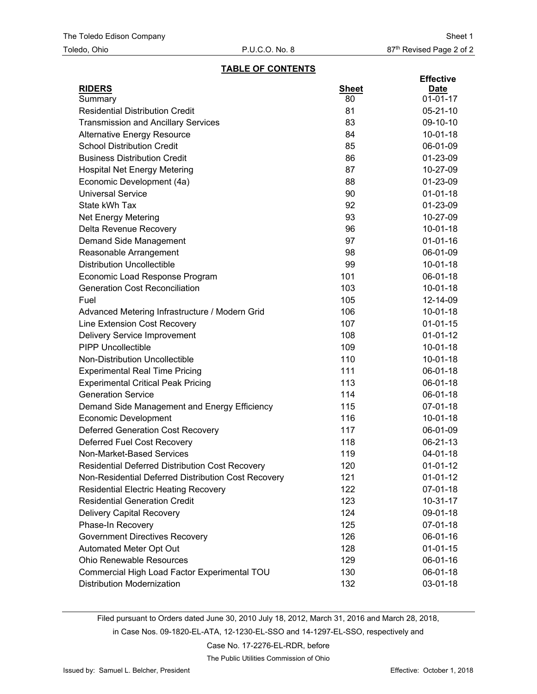#### **TABLE OF CONTENTS**

| <b>RIDERS</b><br><b>Sheet</b><br><b>Date</b><br>80<br>$01 - 01 - 17$<br>Summary<br><b>Residential Distribution Credit</b><br>81<br>$05 - 21 - 10$<br>83<br><b>Transmission and Ancillary Services</b><br>09-10-10<br>84<br>$10-01-18$<br><b>Alternative Energy Resource</b><br><b>School Distribution Credit</b><br>85<br>06-01-09<br><b>Business Distribution Credit</b><br>86<br>01-23-09<br>87<br><b>Hospital Net Energy Metering</b><br>10-27-09<br>Economic Development (4a)<br>88<br>01-23-09<br>90<br>$01 - 01 - 18$<br><b>Universal Service</b><br>State kWh Tax<br>92<br>01-23-09<br>93<br>10-27-09<br><b>Net Energy Metering</b><br>Delta Revenue Recovery<br>96<br>$10-01-18$<br>97<br>$01 - 01 - 16$<br>Demand Side Management<br>98<br>06-01-09<br>Reasonable Arrangement<br><b>Distribution Uncollectible</b><br>99<br>$10 - 01 - 18$<br>101<br>Economic Load Response Program<br>06-01-18<br>103<br><b>Generation Cost Reconciliation</b><br>$10 - 01 - 18$<br>Fuel<br>105<br>12-14-09<br>106<br>$10-01-18$<br>Advanced Metering Infrastructure / Modern Grid<br>Line Extension Cost Recovery<br>107<br>$01 - 01 - 15$<br><b>Delivery Service Improvement</b><br>108<br>$01 - 01 - 12$<br><b>PIPP Uncollectible</b><br>109<br>$10 - 01 - 18$<br>Non-Distribution Uncollectible<br>110<br>$10 - 01 - 18$<br><b>Experimental Real Time Pricing</b><br>111<br>06-01-18<br><b>Experimental Critical Peak Pricing</b><br>113<br>06-01-18<br><b>Generation Service</b><br>114<br>06-01-18<br>115<br>07-01-18<br>Demand Side Management and Energy Efficiency<br>116<br>$10-01-18$<br><b>Economic Development</b> |
|---------------------------------------------------------------------------------------------------------------------------------------------------------------------------------------------------------------------------------------------------------------------------------------------------------------------------------------------------------------------------------------------------------------------------------------------------------------------------------------------------------------------------------------------------------------------------------------------------------------------------------------------------------------------------------------------------------------------------------------------------------------------------------------------------------------------------------------------------------------------------------------------------------------------------------------------------------------------------------------------------------------------------------------------------------------------------------------------------------------------------------------------------------------------------------------------------------------------------------------------------------------------------------------------------------------------------------------------------------------------------------------------------------------------------------------------------------------------------------------------------------------------------------------------------------------------------------------------------------------------------|
|                                                                                                                                                                                                                                                                                                                                                                                                                                                                                                                                                                                                                                                                                                                                                                                                                                                                                                                                                                                                                                                                                                                                                                                                                                                                                                                                                                                                                                                                                                                                                                                                                           |
|                                                                                                                                                                                                                                                                                                                                                                                                                                                                                                                                                                                                                                                                                                                                                                                                                                                                                                                                                                                                                                                                                                                                                                                                                                                                                                                                                                                                                                                                                                                                                                                                                           |
|                                                                                                                                                                                                                                                                                                                                                                                                                                                                                                                                                                                                                                                                                                                                                                                                                                                                                                                                                                                                                                                                                                                                                                                                                                                                                                                                                                                                                                                                                                                                                                                                                           |
|                                                                                                                                                                                                                                                                                                                                                                                                                                                                                                                                                                                                                                                                                                                                                                                                                                                                                                                                                                                                                                                                                                                                                                                                                                                                                                                                                                                                                                                                                                                                                                                                                           |
|                                                                                                                                                                                                                                                                                                                                                                                                                                                                                                                                                                                                                                                                                                                                                                                                                                                                                                                                                                                                                                                                                                                                                                                                                                                                                                                                                                                                                                                                                                                                                                                                                           |
|                                                                                                                                                                                                                                                                                                                                                                                                                                                                                                                                                                                                                                                                                                                                                                                                                                                                                                                                                                                                                                                                                                                                                                                                                                                                                                                                                                                                                                                                                                                                                                                                                           |
|                                                                                                                                                                                                                                                                                                                                                                                                                                                                                                                                                                                                                                                                                                                                                                                                                                                                                                                                                                                                                                                                                                                                                                                                                                                                                                                                                                                                                                                                                                                                                                                                                           |
|                                                                                                                                                                                                                                                                                                                                                                                                                                                                                                                                                                                                                                                                                                                                                                                                                                                                                                                                                                                                                                                                                                                                                                                                                                                                                                                                                                                                                                                                                                                                                                                                                           |
|                                                                                                                                                                                                                                                                                                                                                                                                                                                                                                                                                                                                                                                                                                                                                                                                                                                                                                                                                                                                                                                                                                                                                                                                                                                                                                                                                                                                                                                                                                                                                                                                                           |
|                                                                                                                                                                                                                                                                                                                                                                                                                                                                                                                                                                                                                                                                                                                                                                                                                                                                                                                                                                                                                                                                                                                                                                                                                                                                                                                                                                                                                                                                                                                                                                                                                           |
|                                                                                                                                                                                                                                                                                                                                                                                                                                                                                                                                                                                                                                                                                                                                                                                                                                                                                                                                                                                                                                                                                                                                                                                                                                                                                                                                                                                                                                                                                                                                                                                                                           |
|                                                                                                                                                                                                                                                                                                                                                                                                                                                                                                                                                                                                                                                                                                                                                                                                                                                                                                                                                                                                                                                                                                                                                                                                                                                                                                                                                                                                                                                                                                                                                                                                                           |
|                                                                                                                                                                                                                                                                                                                                                                                                                                                                                                                                                                                                                                                                                                                                                                                                                                                                                                                                                                                                                                                                                                                                                                                                                                                                                                                                                                                                                                                                                                                                                                                                                           |
|                                                                                                                                                                                                                                                                                                                                                                                                                                                                                                                                                                                                                                                                                                                                                                                                                                                                                                                                                                                                                                                                                                                                                                                                                                                                                                                                                                                                                                                                                                                                                                                                                           |
|                                                                                                                                                                                                                                                                                                                                                                                                                                                                                                                                                                                                                                                                                                                                                                                                                                                                                                                                                                                                                                                                                                                                                                                                                                                                                                                                                                                                                                                                                                                                                                                                                           |
|                                                                                                                                                                                                                                                                                                                                                                                                                                                                                                                                                                                                                                                                                                                                                                                                                                                                                                                                                                                                                                                                                                                                                                                                                                                                                                                                                                                                                                                                                                                                                                                                                           |
|                                                                                                                                                                                                                                                                                                                                                                                                                                                                                                                                                                                                                                                                                                                                                                                                                                                                                                                                                                                                                                                                                                                                                                                                                                                                                                                                                                                                                                                                                                                                                                                                                           |
|                                                                                                                                                                                                                                                                                                                                                                                                                                                                                                                                                                                                                                                                                                                                                                                                                                                                                                                                                                                                                                                                                                                                                                                                                                                                                                                                                                                                                                                                                                                                                                                                                           |
|                                                                                                                                                                                                                                                                                                                                                                                                                                                                                                                                                                                                                                                                                                                                                                                                                                                                                                                                                                                                                                                                                                                                                                                                                                                                                                                                                                                                                                                                                                                                                                                                                           |
|                                                                                                                                                                                                                                                                                                                                                                                                                                                                                                                                                                                                                                                                                                                                                                                                                                                                                                                                                                                                                                                                                                                                                                                                                                                                                                                                                                                                                                                                                                                                                                                                                           |
|                                                                                                                                                                                                                                                                                                                                                                                                                                                                                                                                                                                                                                                                                                                                                                                                                                                                                                                                                                                                                                                                                                                                                                                                                                                                                                                                                                                                                                                                                                                                                                                                                           |
|                                                                                                                                                                                                                                                                                                                                                                                                                                                                                                                                                                                                                                                                                                                                                                                                                                                                                                                                                                                                                                                                                                                                                                                                                                                                                                                                                                                                                                                                                                                                                                                                                           |
|                                                                                                                                                                                                                                                                                                                                                                                                                                                                                                                                                                                                                                                                                                                                                                                                                                                                                                                                                                                                                                                                                                                                                                                                                                                                                                                                                                                                                                                                                                                                                                                                                           |
|                                                                                                                                                                                                                                                                                                                                                                                                                                                                                                                                                                                                                                                                                                                                                                                                                                                                                                                                                                                                                                                                                                                                                                                                                                                                                                                                                                                                                                                                                                                                                                                                                           |
|                                                                                                                                                                                                                                                                                                                                                                                                                                                                                                                                                                                                                                                                                                                                                                                                                                                                                                                                                                                                                                                                                                                                                                                                                                                                                                                                                                                                                                                                                                                                                                                                                           |
|                                                                                                                                                                                                                                                                                                                                                                                                                                                                                                                                                                                                                                                                                                                                                                                                                                                                                                                                                                                                                                                                                                                                                                                                                                                                                                                                                                                                                                                                                                                                                                                                                           |
|                                                                                                                                                                                                                                                                                                                                                                                                                                                                                                                                                                                                                                                                                                                                                                                                                                                                                                                                                                                                                                                                                                                                                                                                                                                                                                                                                                                                                                                                                                                                                                                                                           |
|                                                                                                                                                                                                                                                                                                                                                                                                                                                                                                                                                                                                                                                                                                                                                                                                                                                                                                                                                                                                                                                                                                                                                                                                                                                                                                                                                                                                                                                                                                                                                                                                                           |
|                                                                                                                                                                                                                                                                                                                                                                                                                                                                                                                                                                                                                                                                                                                                                                                                                                                                                                                                                                                                                                                                                                                                                                                                                                                                                                                                                                                                                                                                                                                                                                                                                           |
| <b>Deferred Generation Cost Recovery</b><br>117<br>06-01-09                                                                                                                                                                                                                                                                                                                                                                                                                                                                                                                                                                                                                                                                                                                                                                                                                                                                                                                                                                                                                                                                                                                                                                                                                                                                                                                                                                                                                                                                                                                                                               |
| Deferred Fuel Cost Recovery<br>118<br>06-21-13                                                                                                                                                                                                                                                                                                                                                                                                                                                                                                                                                                                                                                                                                                                                                                                                                                                                                                                                                                                                                                                                                                                                                                                                                                                                                                                                                                                                                                                                                                                                                                            |
| Non-Market-Based Services<br>119<br>04-01-18                                                                                                                                                                                                                                                                                                                                                                                                                                                                                                                                                                                                                                                                                                                                                                                                                                                                                                                                                                                                                                                                                                                                                                                                                                                                                                                                                                                                                                                                                                                                                                              |
| 120<br>Residential Deferred Distribution Cost Recovery<br>$01-01-12$                                                                                                                                                                                                                                                                                                                                                                                                                                                                                                                                                                                                                                                                                                                                                                                                                                                                                                                                                                                                                                                                                                                                                                                                                                                                                                                                                                                                                                                                                                                                                      |
| Non-Residential Deferred Distribution Cost Recovery<br>$01-01-12$<br>121                                                                                                                                                                                                                                                                                                                                                                                                                                                                                                                                                                                                                                                                                                                                                                                                                                                                                                                                                                                                                                                                                                                                                                                                                                                                                                                                                                                                                                                                                                                                                  |
| 122<br><b>Residential Electric Heating Recovery</b><br>07-01-18                                                                                                                                                                                                                                                                                                                                                                                                                                                                                                                                                                                                                                                                                                                                                                                                                                                                                                                                                                                                                                                                                                                                                                                                                                                                                                                                                                                                                                                                                                                                                           |
| <b>Residential Generation Credit</b><br>123<br>$10-31-17$                                                                                                                                                                                                                                                                                                                                                                                                                                                                                                                                                                                                                                                                                                                                                                                                                                                                                                                                                                                                                                                                                                                                                                                                                                                                                                                                                                                                                                                                                                                                                                 |
| <b>Delivery Capital Recovery</b><br>124<br>09-01-18                                                                                                                                                                                                                                                                                                                                                                                                                                                                                                                                                                                                                                                                                                                                                                                                                                                                                                                                                                                                                                                                                                                                                                                                                                                                                                                                                                                                                                                                                                                                                                       |
| Phase-In Recovery<br>125<br>07-01-18                                                                                                                                                                                                                                                                                                                                                                                                                                                                                                                                                                                                                                                                                                                                                                                                                                                                                                                                                                                                                                                                                                                                                                                                                                                                                                                                                                                                                                                                                                                                                                                      |
| <b>Government Directives Recovery</b><br>126<br>06-01-16                                                                                                                                                                                                                                                                                                                                                                                                                                                                                                                                                                                                                                                                                                                                                                                                                                                                                                                                                                                                                                                                                                                                                                                                                                                                                                                                                                                                                                                                                                                                                                  |
| Automated Meter Opt Out<br>128<br>$01 - 01 - 15$                                                                                                                                                                                                                                                                                                                                                                                                                                                                                                                                                                                                                                                                                                                                                                                                                                                                                                                                                                                                                                                                                                                                                                                                                                                                                                                                                                                                                                                                                                                                                                          |
| <b>Ohio Renewable Resources</b><br>129<br>06-01-16                                                                                                                                                                                                                                                                                                                                                                                                                                                                                                                                                                                                                                                                                                                                                                                                                                                                                                                                                                                                                                                                                                                                                                                                                                                                                                                                                                                                                                                                                                                                                                        |
| Commercial High Load Factor Experimental TOU<br>130<br>06-01-18                                                                                                                                                                                                                                                                                                                                                                                                                                                                                                                                                                                                                                                                                                                                                                                                                                                                                                                                                                                                                                                                                                                                                                                                                                                                                                                                                                                                                                                                                                                                                           |
| <b>Distribution Modernization</b><br>132<br>03-01-18                                                                                                                                                                                                                                                                                                                                                                                                                                                                                                                                                                                                                                                                                                                                                                                                                                                                                                                                                                                                                                                                                                                                                                                                                                                                                                                                                                                                                                                                                                                                                                      |

Filed pursuant to Orders dated June 30, 2010 July 18, 2012, March 31, 2016 and March 28, 2018,

in Case Nos. 09-1820-EL-ATA, 12-1230-EL-SSO and 14-1297-EL-SSO, respectively and

Case No. 17-2276-EL-RDR, before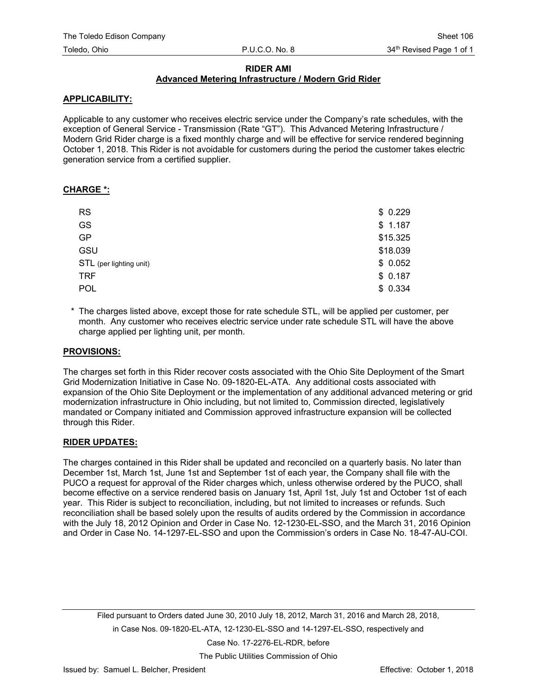## **RIDER AMI**

## **Advanced Metering Infrastructure / Modern Grid Rider**

### **APPLICABILITY:**

Applicable to any customer who receives electric service under the Company's rate schedules, with the exception of General Service - Transmission (Rate "GT"). This Advanced Metering Infrastructure / Modern Grid Rider charge is a fixed monthly charge and will be effective for service rendered beginning October 1, 2018. This Rider is not avoidable for customers during the period the customer takes electric generation service from a certified supplier.

#### **CHARGE \*:**

| <b>RS</b>               | \$0.229  |
|-------------------------|----------|
| GS                      | \$1.187  |
| <b>GP</b>               | \$15.325 |
| GSU                     | \$18.039 |
| STL (per lighting unit) | \$0.052  |
| <b>TRF</b>              | \$0.187  |
| POL                     | \$0.334  |

\* The charges listed above, except those for rate schedule STL, will be applied per customer, per month. Any customer who receives electric service under rate schedule STL will have the above charge applied per lighting unit, per month.

#### **PROVISIONS:**

The charges set forth in this Rider recover costs associated with the Ohio Site Deployment of the Smart Grid Modernization Initiative in Case No. 09-1820-EL-ATA. Any additional costs associated with expansion of the Ohio Site Deployment or the implementation of any additional advanced metering or grid modernization infrastructure in Ohio including, but not limited to, Commission directed, legislatively mandated or Company initiated and Commission approved infrastructure expansion will be collected through this Rider.

#### **RIDER UPDATES:**

The charges contained in this Rider shall be updated and reconciled on a quarterly basis. No later than December 1st, March 1st, June 1st and September 1st of each year, the Company shall file with the PUCO a request for approval of the Rider charges which, unless otherwise ordered by the PUCO, shall become effective on a service rendered basis on January 1st, April 1st, July 1st and October 1st of each year. This Rider is subject to reconciliation, including, but not limited to increases or refunds. Such reconciliation shall be based solely upon the results of audits ordered by the Commission in accordance with the July 18, 2012 Opinion and Order in Case No. 12-1230-EL-SSO, and the March 31, 2016 Opinion and Order in Case No. 14-1297-EL-SSO and upon the Commission's orders in Case No. 18-47-AU-COI.

Filed pursuant to Orders dated June 30, 2010 July 18, 2012, March 31, 2016 and March 28, 2018, in Case Nos. 09-1820-EL-ATA, 12-1230-EL-SSO and 14-1297-EL-SSO, respectively and Case No. 17-2276-EL-RDR, before

The Public Utilities Commission of Ohio